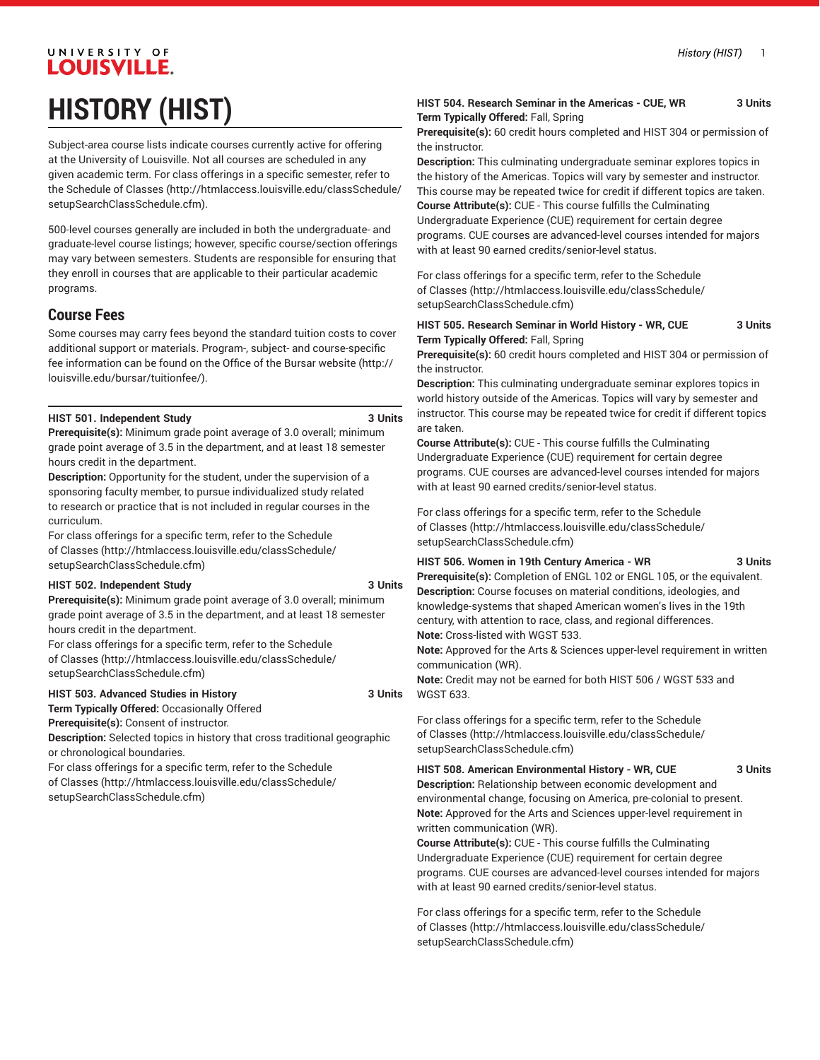# UNIVERSITY OF **LOUISVILLE. HISTORY (HIST)**

Subject-area course lists indicate courses currently active for offering at the University of Louisville. Not all courses are scheduled in any given academic term. For class offerings in a specific semester, refer to the [Schedule of Classes](http://htmlaccess.louisville.edu/classSchedule/setupSearchClassSchedule.cfm) ([http://htmlaccess.louisville.edu/classSchedule/](http://htmlaccess.louisville.edu/classSchedule/setupSearchClassSchedule.cfm) [setupSearchClassSchedule.cfm\)](http://htmlaccess.louisville.edu/classSchedule/setupSearchClassSchedule.cfm).

500-level courses generally are included in both the undergraduate- and graduate-level course listings; however, specific course/section offerings may vary between semesters. Students are responsible for ensuring that they enroll in courses that are applicable to their particular academic programs.

## **Course Fees**

Some courses may carry fees beyond the standard tuition costs to cover additional support or materials. Program-, subject- and course-specific fee information can be found on the [Office of the Bursar website](http://louisville.edu/bursar/tuitionfee/) ([http://](http://louisville.edu/bursar/tuitionfee/) [louisville.edu/bursar/tuitionfee/](http://louisville.edu/bursar/tuitionfee/)).

#### **HIST 501. Independent Study 3 Units**

**Prerequisite(s):** Minimum grade point average of 3.0 overall; minimum grade point average of 3.5 in the department, and at least 18 semester hours credit in the department.

**Description:** Opportunity for the student, under the supervision of a sponsoring faculty member, to pursue individualized study related to research or practice that is not included in regular courses in the curriculum.

For class offerings for a specific term, refer to the [Schedule](http://htmlaccess.louisville.edu/classSchedule/setupSearchClassSchedule.cfm) [of Classes \(http://htmlaccess.louisville.edu/classSchedule/](http://htmlaccess.louisville.edu/classSchedule/setupSearchClassSchedule.cfm) [setupSearchClassSchedule.cfm\)](http://htmlaccess.louisville.edu/classSchedule/setupSearchClassSchedule.cfm)

#### **HIST 502. Independent Study 3 Units**

**Prerequisite(s):** Minimum grade point average of 3.0 overall; minimum grade point average of 3.5 in the department, and at least 18 semester hours credit in the department.

For class offerings for a specific term, refer to the [Schedule](http://htmlaccess.louisville.edu/classSchedule/setupSearchClassSchedule.cfm) [of Classes \(http://htmlaccess.louisville.edu/classSchedule/](http://htmlaccess.louisville.edu/classSchedule/setupSearchClassSchedule.cfm) [setupSearchClassSchedule.cfm\)](http://htmlaccess.louisville.edu/classSchedule/setupSearchClassSchedule.cfm)

#### **HIST 503. Advanced Studies in History 3 Units**

**Term Typically Offered:** Occasionally Offered

**Prerequisite(s):** Consent of instructor.

**Description:** Selected topics in history that cross traditional geographic or chronological boundaries.

For class offerings for a specific term, refer to the [Schedule](http://htmlaccess.louisville.edu/classSchedule/setupSearchClassSchedule.cfm) [of Classes \(http://htmlaccess.louisville.edu/classSchedule/](http://htmlaccess.louisville.edu/classSchedule/setupSearchClassSchedule.cfm) [setupSearchClassSchedule.cfm\)](http://htmlaccess.louisville.edu/classSchedule/setupSearchClassSchedule.cfm)

#### **HIST 504. Research Seminar in the Americas - CUE, WR 3 Units Term Typically Offered:** Fall, Spring

**Prerequisite(s):** 60 credit hours completed and HIST 304 or permission of the instructor.

**Description:** This culminating undergraduate seminar explores topics in the history of the Americas. Topics will vary by semester and instructor. This course may be repeated twice for credit if different topics are taken.

**Course Attribute(s):** CUE - This course fulfills the Culminating Undergraduate Experience (CUE) requirement for certain degree programs. CUE courses are advanced-level courses intended for majors with at least 90 earned credits/senior-level status.

For class offerings for a specific term, refer to the [Schedule](http://htmlaccess.louisville.edu/classSchedule/setupSearchClassSchedule.cfm) [of Classes](http://htmlaccess.louisville.edu/classSchedule/setupSearchClassSchedule.cfm) ([http://htmlaccess.louisville.edu/classSchedule/](http://htmlaccess.louisville.edu/classSchedule/setupSearchClassSchedule.cfm) [setupSearchClassSchedule.cfm\)](http://htmlaccess.louisville.edu/classSchedule/setupSearchClassSchedule.cfm)

#### **HIST 505. Research Seminar in World History - WR, CUE 3 Units Term Typically Offered:** Fall, Spring

**Prerequisite(s):** 60 credit hours completed and HIST 304 or permission of the instructor.

**Description:** This culminating undergraduate seminar explores topics in world history outside of the Americas. Topics will vary by semester and instructor. This course may be repeated twice for credit if different topics are taken.

**Course Attribute(s):** CUE - This course fulfills the Culminating Undergraduate Experience (CUE) requirement for certain degree programs. CUE courses are advanced-level courses intended for majors with at least 90 earned credits/senior-level status.

For class offerings for a specific term, refer to the [Schedule](http://htmlaccess.louisville.edu/classSchedule/setupSearchClassSchedule.cfm) [of Classes](http://htmlaccess.louisville.edu/classSchedule/setupSearchClassSchedule.cfm) ([http://htmlaccess.louisville.edu/classSchedule/](http://htmlaccess.louisville.edu/classSchedule/setupSearchClassSchedule.cfm) [setupSearchClassSchedule.cfm\)](http://htmlaccess.louisville.edu/classSchedule/setupSearchClassSchedule.cfm)

#### **HIST 506. Women in 19th Century America - WR 3 Units**

**Prerequisite(s):** Completion of ENGL 102 or ENGL 105, or the equivalent. **Description:** Course focuses on material conditions, ideologies, and knowledge-systems that shaped American women's lives in the 19th century, with attention to race, class, and regional differences. **Note:** Cross-listed with WGST 533.

**Note:** Approved for the Arts & Sciences upper-level requirement in written communication (WR).

**Note:** Credit may not be earned for both HIST 506 / WGST 533 and WGST 633.

For class offerings for a specific term, refer to the [Schedule](http://htmlaccess.louisville.edu/classSchedule/setupSearchClassSchedule.cfm) [of Classes](http://htmlaccess.louisville.edu/classSchedule/setupSearchClassSchedule.cfm) ([http://htmlaccess.louisville.edu/classSchedule/](http://htmlaccess.louisville.edu/classSchedule/setupSearchClassSchedule.cfm) [setupSearchClassSchedule.cfm\)](http://htmlaccess.louisville.edu/classSchedule/setupSearchClassSchedule.cfm)

#### **HIST 508. American Environmental History - WR, CUE 3 Units**

**Description:** Relationship between economic development and environmental change, focusing on America, pre-colonial to present. **Note:** Approved for the Arts and Sciences upper-level requirement in written communication (WR).

**Course Attribute(s):** CUE - This course fulfills the Culminating Undergraduate Experience (CUE) requirement for certain degree programs. CUE courses are advanced-level courses intended for majors with at least 90 earned credits/senior-level status.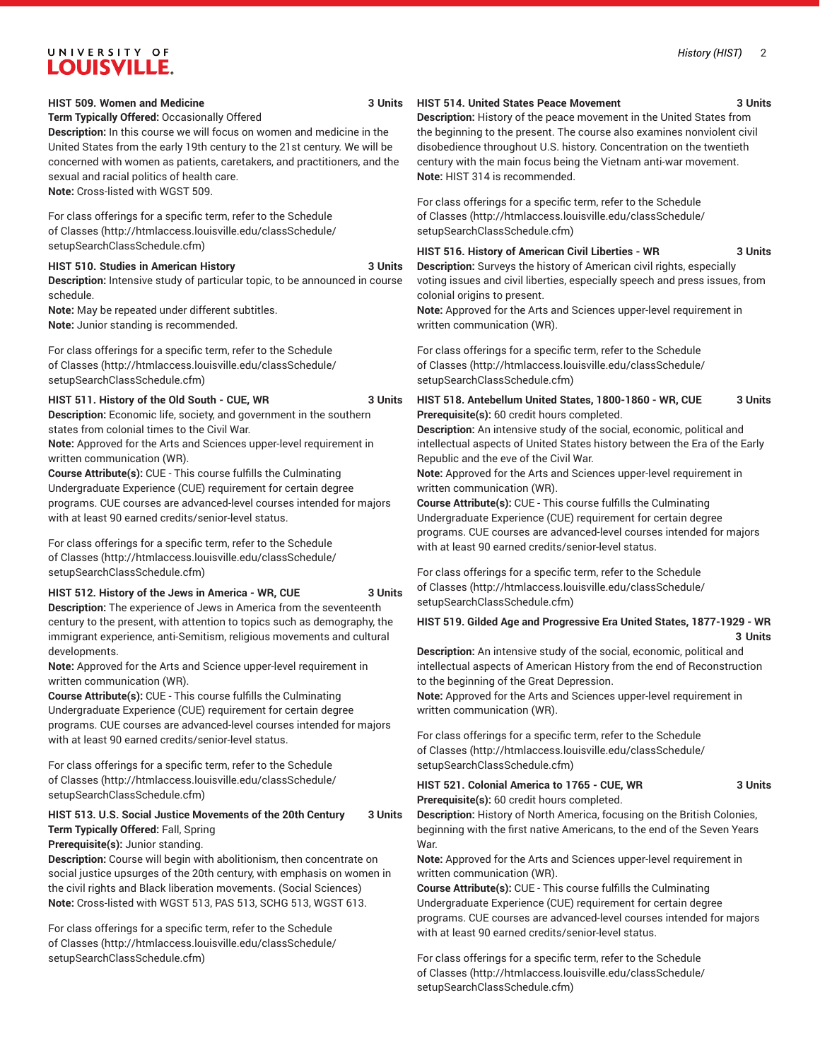#### **HIST 509. Women and Medicine 3 Units**

#### **Term Typically Offered:** Occasionally Offered

**Description:** In this course we will focus on women and medicine in the United States from the early 19th century to the 21st century. We will be concerned with women as patients, caretakers, and practitioners, and the sexual and racial politics of health care. **Note:** Cross-listed with WGST 509.

For class offerings for a specific term, refer to the [Schedule](http://htmlaccess.louisville.edu/classSchedule/setupSearchClassSchedule.cfm) [of Classes \(http://htmlaccess.louisville.edu/classSchedule/](http://htmlaccess.louisville.edu/classSchedule/setupSearchClassSchedule.cfm) [setupSearchClassSchedule.cfm\)](http://htmlaccess.louisville.edu/classSchedule/setupSearchClassSchedule.cfm)

#### **HIST 510. Studies in American History 3 Units**

**Description:** Intensive study of particular topic, to be announced in course schedule.

**Note:** May be repeated under different subtitles. **Note:** Junior standing is recommended.

For class offerings for a specific term, refer to the [Schedule](http://htmlaccess.louisville.edu/classSchedule/setupSearchClassSchedule.cfm) [of Classes \(http://htmlaccess.louisville.edu/classSchedule/](http://htmlaccess.louisville.edu/classSchedule/setupSearchClassSchedule.cfm) [setupSearchClassSchedule.cfm\)](http://htmlaccess.louisville.edu/classSchedule/setupSearchClassSchedule.cfm)

#### **HIST 511. History of the Old South - CUE, WR 3 Units**

**Description:** Economic life, society, and government in the southern

states from colonial times to the Civil War. **Note:** Approved for the Arts and Sciences upper-level requirement in written communication (WR).

**Course Attribute(s):** CUE - This course fulfills the Culminating Undergraduate Experience (CUE) requirement for certain degree programs. CUE courses are advanced-level courses intended for majors with at least 90 earned credits/senior-level status.

For class offerings for a specific term, refer to the [Schedule](http://htmlaccess.louisville.edu/classSchedule/setupSearchClassSchedule.cfm) [of Classes \(http://htmlaccess.louisville.edu/classSchedule/](http://htmlaccess.louisville.edu/classSchedule/setupSearchClassSchedule.cfm) [setupSearchClassSchedule.cfm\)](http://htmlaccess.louisville.edu/classSchedule/setupSearchClassSchedule.cfm)

#### **HIST 512. History of the Jews in America - WR, CUE 3 Units**

**Description:** The experience of Jews in America from the seventeenth century to the present, with attention to topics such as demography, the immigrant experience, anti-Semitism, religious movements and cultural developments.

**Note:** Approved for the Arts and Science upper-level requirement in written communication (WR).

**Course Attribute(s):** CUE - This course fulfills the Culminating Undergraduate Experience (CUE) requirement for certain degree programs. CUE courses are advanced-level courses intended for majors with at least 90 earned credits/senior-level status.

For class offerings for a specific term, refer to the [Schedule](http://htmlaccess.louisville.edu/classSchedule/setupSearchClassSchedule.cfm) [of Classes \(http://htmlaccess.louisville.edu/classSchedule/](http://htmlaccess.louisville.edu/classSchedule/setupSearchClassSchedule.cfm) [setupSearchClassSchedule.cfm\)](http://htmlaccess.louisville.edu/classSchedule/setupSearchClassSchedule.cfm)

#### **HIST 513. U.S. Social Justice Movements of the 20th Century 3 Units Term Typically Offered:** Fall, Spring

**Prerequisite(s):** Junior standing.

**Description:** Course will begin with abolitionism, then concentrate on social justice upsurges of the 20th century, with emphasis on women in the civil rights and Black liberation movements. (Social Sciences) **Note:** Cross-listed with WGST 513, PAS 513, SCHG 513, WGST 613.

For class offerings for a specific term, refer to the [Schedule](http://htmlaccess.louisville.edu/classSchedule/setupSearchClassSchedule.cfm) [of Classes \(http://htmlaccess.louisville.edu/classSchedule/](http://htmlaccess.louisville.edu/classSchedule/setupSearchClassSchedule.cfm) [setupSearchClassSchedule.cfm\)](http://htmlaccess.louisville.edu/classSchedule/setupSearchClassSchedule.cfm)

#### **HIST 514. United States Peace Movement 3 Units**

**Description:** History of the peace movement in the United States from the beginning to the present. The course also examines nonviolent civil disobedience throughout U.S. history. Concentration on the twentieth century with the main focus being the Vietnam anti-war movement. **Note:** HIST 314 is recommended.

For class offerings for a specific term, refer to the [Schedule](http://htmlaccess.louisville.edu/classSchedule/setupSearchClassSchedule.cfm) [of Classes](http://htmlaccess.louisville.edu/classSchedule/setupSearchClassSchedule.cfm) ([http://htmlaccess.louisville.edu/classSchedule/](http://htmlaccess.louisville.edu/classSchedule/setupSearchClassSchedule.cfm) [setupSearchClassSchedule.cfm\)](http://htmlaccess.louisville.edu/classSchedule/setupSearchClassSchedule.cfm)

#### **HIST 516. History of American Civil Liberties - WR 3 Units**

**Description:** Surveys the history of American civil rights, especially voting issues and civil liberties, especially speech and press issues, from colonial origins to present.

**Note:** Approved for the Arts and Sciences upper-level requirement in written communication (WR).

For class offerings for a specific term, refer to the [Schedule](http://htmlaccess.louisville.edu/classSchedule/setupSearchClassSchedule.cfm) [of Classes](http://htmlaccess.louisville.edu/classSchedule/setupSearchClassSchedule.cfm) ([http://htmlaccess.louisville.edu/classSchedule/](http://htmlaccess.louisville.edu/classSchedule/setupSearchClassSchedule.cfm) [setupSearchClassSchedule.cfm\)](http://htmlaccess.louisville.edu/classSchedule/setupSearchClassSchedule.cfm)

**HIST 518. Antebellum United States, 1800-1860 - WR, CUE 3 Units Prerequisite(s):** 60 credit hours completed.

**Description:** An intensive study of the social, economic, political and intellectual aspects of United States history between the Era of the Early Republic and the eve of the Civil War.

**Note:** Approved for the Arts and Sciences upper-level requirement in written communication (WR).

**Course Attribute(s):** CUE - This course fulfills the Culminating Undergraduate Experience (CUE) requirement for certain degree programs. CUE courses are advanced-level courses intended for majors with at least 90 earned credits/senior-level status.

For class offerings for a specific term, refer to the [Schedule](http://htmlaccess.louisville.edu/classSchedule/setupSearchClassSchedule.cfm) [of Classes](http://htmlaccess.louisville.edu/classSchedule/setupSearchClassSchedule.cfm) ([http://htmlaccess.louisville.edu/classSchedule/](http://htmlaccess.louisville.edu/classSchedule/setupSearchClassSchedule.cfm) [setupSearchClassSchedule.cfm\)](http://htmlaccess.louisville.edu/classSchedule/setupSearchClassSchedule.cfm)

#### **HIST 519. Gilded Age and Progressive Era United States, 1877-1929 - WR 3 Units**

**Description:** An intensive study of the social, economic, political and intellectual aspects of American History from the end of Reconstruction to the beginning of the Great Depression.

**Note:** Approved for the Arts and Sciences upper-level requirement in written communication (WR).

For class offerings for a specific term, refer to the [Schedule](http://htmlaccess.louisville.edu/classSchedule/setupSearchClassSchedule.cfm) [of Classes](http://htmlaccess.louisville.edu/classSchedule/setupSearchClassSchedule.cfm) ([http://htmlaccess.louisville.edu/classSchedule/](http://htmlaccess.louisville.edu/classSchedule/setupSearchClassSchedule.cfm) [setupSearchClassSchedule.cfm\)](http://htmlaccess.louisville.edu/classSchedule/setupSearchClassSchedule.cfm)

**HIST 521. Colonial America to 1765 - CUE, WR 3 Units Prerequisite(s):** 60 credit hours completed.

**Description:** History of North America, focusing on the British Colonies, beginning with the first native Americans, to the end of the Seven Years War.

**Note:** Approved for the Arts and Sciences upper-level requirement in written communication (WR).

**Course Attribute(s):** CUE - This course fulfills the Culminating Undergraduate Experience (CUE) requirement for certain degree programs. CUE courses are advanced-level courses intended for majors with at least 90 earned credits/senior-level status.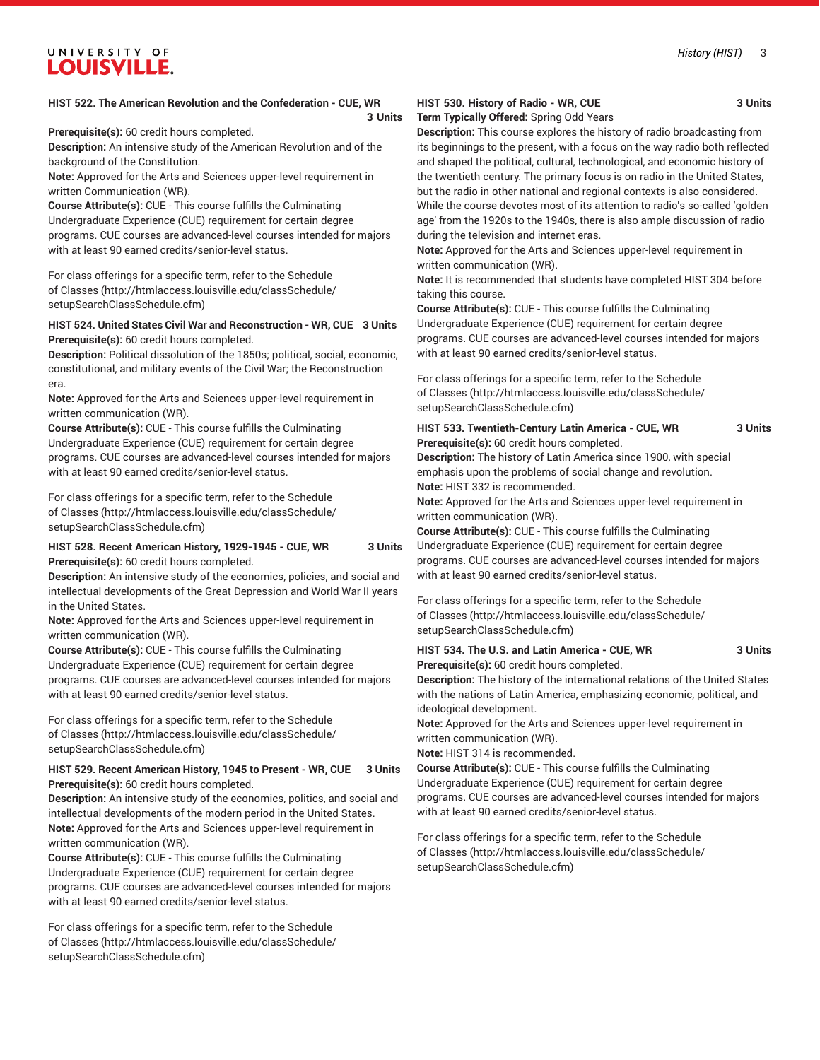**3 Units**

**Prerequisite(s):** 60 credit hours completed.

**Description:** An intensive study of the American Revolution and of the background of the Constitution.

**Note:** Approved for the Arts and Sciences upper-level requirement in written Communication (WR).

**Course Attribute(s):** CUE - This course fulfills the Culminating Undergraduate Experience (CUE) requirement for certain degree programs. CUE courses are advanced-level courses intended for majors with at least 90 earned credits/senior-level status.

For class offerings for a specific term, refer to the [Schedule](http://htmlaccess.louisville.edu/classSchedule/setupSearchClassSchedule.cfm) [of Classes \(http://htmlaccess.louisville.edu/classSchedule/](http://htmlaccess.louisville.edu/classSchedule/setupSearchClassSchedule.cfm) [setupSearchClassSchedule.cfm\)](http://htmlaccess.louisville.edu/classSchedule/setupSearchClassSchedule.cfm)

#### **HIST 524. United States Civil War and Reconstruction - WR, CUE 3 Units Prerequisite(s):** 60 credit hours completed.

**Description:** Political dissolution of the 1850s; political, social, economic, constitutional, and military events of the Civil War; the Reconstruction era.

**Note:** Approved for the Arts and Sciences upper-level requirement in written communication (WR).

**Course Attribute(s):** CUE - This course fulfills the Culminating Undergraduate Experience (CUE) requirement for certain degree programs. CUE courses are advanced-level courses intended for majors with at least 90 earned credits/senior-level status.

For class offerings for a specific term, refer to the [Schedule](http://htmlaccess.louisville.edu/classSchedule/setupSearchClassSchedule.cfm) [of Classes \(http://htmlaccess.louisville.edu/classSchedule/](http://htmlaccess.louisville.edu/classSchedule/setupSearchClassSchedule.cfm) [setupSearchClassSchedule.cfm\)](http://htmlaccess.louisville.edu/classSchedule/setupSearchClassSchedule.cfm)

#### **HIST 528. Recent American History, 1929-1945 - CUE, WR 3 Units Prerequisite(s):** 60 credit hours completed.

**Description:** An intensive study of the economics, policies, and social and intellectual developments of the Great Depression and World War II years in the United States.

**Note:** Approved for the Arts and Sciences upper-level requirement in written communication (WR).

**Course Attribute(s):** CUE - This course fulfills the Culminating Undergraduate Experience (CUE) requirement for certain degree programs. CUE courses are advanced-level courses intended for majors with at least 90 earned credits/senior-level status.

For class offerings for a specific term, refer to the [Schedule](http://htmlaccess.louisville.edu/classSchedule/setupSearchClassSchedule.cfm) [of Classes \(http://htmlaccess.louisville.edu/classSchedule/](http://htmlaccess.louisville.edu/classSchedule/setupSearchClassSchedule.cfm) [setupSearchClassSchedule.cfm\)](http://htmlaccess.louisville.edu/classSchedule/setupSearchClassSchedule.cfm)

#### **HIST 529. Recent American History, 1945 to Present - WR, CUE 3 Units Prerequisite(s):** 60 credit hours completed.

**Description:** An intensive study of the economics, politics, and social and intellectual developments of the modern period in the United States. **Note:** Approved for the Arts and Sciences upper-level requirement in written communication (WR).

**Course Attribute(s):** CUE - This course fulfills the Culminating Undergraduate Experience (CUE) requirement for certain degree programs. CUE courses are advanced-level courses intended for majors with at least 90 earned credits/senior-level status.

For class offerings for a specific term, refer to the [Schedule](http://htmlaccess.louisville.edu/classSchedule/setupSearchClassSchedule.cfm) [of Classes \(http://htmlaccess.louisville.edu/classSchedule/](http://htmlaccess.louisville.edu/classSchedule/setupSearchClassSchedule.cfm) [setupSearchClassSchedule.cfm\)](http://htmlaccess.louisville.edu/classSchedule/setupSearchClassSchedule.cfm)

#### **HIST 530. History of Radio - WR, CUE 3 Units**

**Term Typically Offered:** Spring Odd Years

**Description:** This course explores the history of radio broadcasting from its beginnings to the present, with a focus on the way radio both reflected and shaped the political, cultural, technological, and economic history of the twentieth century. The primary focus is on radio in the United States, but the radio in other national and regional contexts is also considered. While the course devotes most of its attention to radio's so-called 'golden age' from the 1920s to the 1940s, there is also ample discussion of radio during the television and internet eras.

**Note:** Approved for the Arts and Sciences upper-level requirement in written communication (WR).

**Note:** It is recommended that students have completed HIST 304 before taking this course.

**Course Attribute(s):** CUE - This course fulfills the Culminating Undergraduate Experience (CUE) requirement for certain degree programs. CUE courses are advanced-level courses intended for majors with at least 90 earned credits/senior-level status.

For class offerings for a specific term, refer to the [Schedule](http://htmlaccess.louisville.edu/classSchedule/setupSearchClassSchedule.cfm) [of Classes](http://htmlaccess.louisville.edu/classSchedule/setupSearchClassSchedule.cfm) ([http://htmlaccess.louisville.edu/classSchedule/](http://htmlaccess.louisville.edu/classSchedule/setupSearchClassSchedule.cfm) [setupSearchClassSchedule.cfm\)](http://htmlaccess.louisville.edu/classSchedule/setupSearchClassSchedule.cfm)

#### **HIST 533. Twentieth-Century Latin America - CUE, WR 3 Units Prerequisite(s):** 60 credit hours completed.

**Description:** The history of Latin America since 1900, with special emphasis upon the problems of social change and revolution. **Note:** HIST 332 is recommended.

**Note:** Approved for the Arts and Sciences upper-level requirement in written communication (WR).

**Course Attribute(s):** CUE - This course fulfills the Culminating Undergraduate Experience (CUE) requirement for certain degree programs. CUE courses are advanced-level courses intended for majors with at least 90 earned credits/senior-level status.

For class offerings for a specific term, refer to the [Schedule](http://htmlaccess.louisville.edu/classSchedule/setupSearchClassSchedule.cfm) [of Classes](http://htmlaccess.louisville.edu/classSchedule/setupSearchClassSchedule.cfm) ([http://htmlaccess.louisville.edu/classSchedule/](http://htmlaccess.louisville.edu/classSchedule/setupSearchClassSchedule.cfm) [setupSearchClassSchedule.cfm\)](http://htmlaccess.louisville.edu/classSchedule/setupSearchClassSchedule.cfm)

#### **HIST 534. The U.S. and Latin America - CUE, WR 3 Units Prerequisite(s):** 60 credit hours completed.

**Description:** The history of the international relations of the United States with the nations of Latin America, emphasizing economic, political, and ideological development.

**Note:** Approved for the Arts and Sciences upper-level requirement in written communication (WR).

**Note:** HIST 314 is recommended.

**Course Attribute(s):** CUE - This course fulfills the Culminating Undergraduate Experience (CUE) requirement for certain degree programs. CUE courses are advanced-level courses intended for majors with at least 90 earned credits/senior-level status.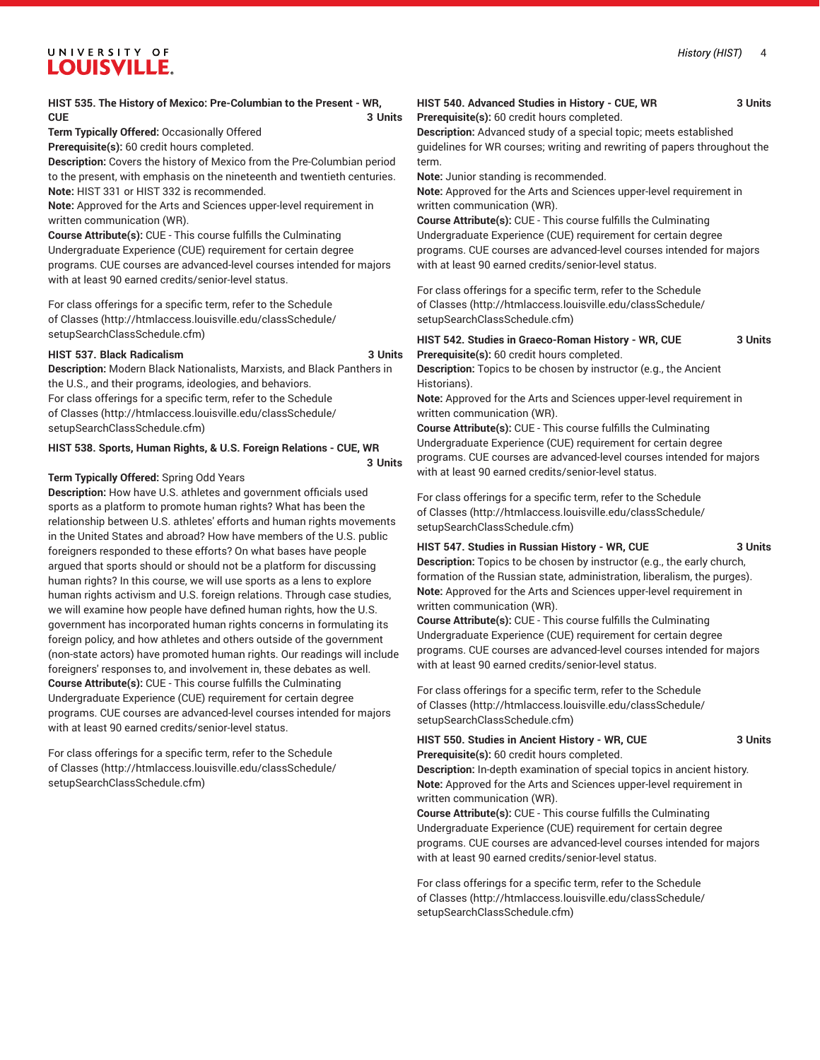#### *History (HIST)* 4

# UNIVERSITY OF **LOUISVILLE.**

#### **HIST 535. The History of Mexico: Pre-Columbian to the Present - WR, CUE** 3 Units

**Term Typically Offered:** Occasionally Offered **Prerequisite(s):** 60 credit hours completed.

**Description:** Covers the history of Mexico from the Pre-Columbian period to the present, with emphasis on the nineteenth and twentieth centuries. **Note:** HIST 331 or HIST 332 is recommended.

**Note:** Approved for the Arts and Sciences upper-level requirement in written communication (WR).

**Course Attribute(s):** CUE - This course fulfills the Culminating Undergraduate Experience (CUE) requirement for certain degree programs. CUE courses are advanced-level courses intended for majors with at least 90 earned credits/senior-level status.

For class offerings for a specific term, refer to the [Schedule](http://htmlaccess.louisville.edu/classSchedule/setupSearchClassSchedule.cfm) [of Classes \(http://htmlaccess.louisville.edu/classSchedule/](http://htmlaccess.louisville.edu/classSchedule/setupSearchClassSchedule.cfm) [setupSearchClassSchedule.cfm\)](http://htmlaccess.louisville.edu/classSchedule/setupSearchClassSchedule.cfm)

#### **HIST 537. Black Radicalism 3 Units**

**Description:** Modern Black Nationalists, Marxists, and Black Panthers in the U.S., and their programs, ideologies, and behaviors. For class offerings for a specific term, refer to the [Schedule](http://htmlaccess.louisville.edu/classSchedule/setupSearchClassSchedule.cfm) [of Classes \(http://htmlaccess.louisville.edu/classSchedule/](http://htmlaccess.louisville.edu/classSchedule/setupSearchClassSchedule.cfm) [setupSearchClassSchedule.cfm\)](http://htmlaccess.louisville.edu/classSchedule/setupSearchClassSchedule.cfm)

#### **HIST 538. Sports, Human Rights, & U.S. Foreign Relations - CUE, WR**

#### **3 Units**

#### **Term Typically Offered:** Spring Odd Years

**Description:** How have U.S. athletes and government officials used sports as a platform to promote human rights? What has been the relationship between U.S. athletes' efforts and human rights movements in the United States and abroad? How have members of the U.S. public foreigners responded to these efforts? On what bases have people argued that sports should or should not be a platform for discussing human rights? In this course, we will use sports as a lens to explore human rights activism and U.S. foreign relations. Through case studies, we will examine how people have defined human rights, how the U.S. government has incorporated human rights concerns in formulating its foreign policy, and how athletes and others outside of the government (non-state actors) have promoted human rights. Our readings will include foreigners' responses to, and involvement in, these debates as well. **Course Attribute(s):** CUE - This course fulfills the Culminating Undergraduate Experience (CUE) requirement for certain degree programs. CUE courses are advanced-level courses intended for majors with at least 90 earned credits/senior-level status.

For class offerings for a specific term, refer to the [Schedule](http://htmlaccess.louisville.edu/classSchedule/setupSearchClassSchedule.cfm) [of Classes \(http://htmlaccess.louisville.edu/classSchedule/](http://htmlaccess.louisville.edu/classSchedule/setupSearchClassSchedule.cfm) [setupSearchClassSchedule.cfm\)](http://htmlaccess.louisville.edu/classSchedule/setupSearchClassSchedule.cfm)

# **HIST 540. Advanced Studies in History - CUE, WR 3 Units**

**Prerequisite(s):** 60 credit hours completed.

**Description:** Advanced study of a special topic; meets established guidelines for WR courses; writing and rewriting of papers throughout the term.

**Note:** Junior standing is recommended.

**Note:** Approved for the Arts and Sciences upper-level requirement in written communication (WR).

**Course Attribute(s):** CUE - This course fulfills the Culminating Undergraduate Experience (CUE) requirement for certain degree programs. CUE courses are advanced-level courses intended for majors with at least 90 earned credits/senior-level status.

For class offerings for a specific term, refer to the [Schedule](http://htmlaccess.louisville.edu/classSchedule/setupSearchClassSchedule.cfm) [of Classes](http://htmlaccess.louisville.edu/classSchedule/setupSearchClassSchedule.cfm) ([http://htmlaccess.louisville.edu/classSchedule/](http://htmlaccess.louisville.edu/classSchedule/setupSearchClassSchedule.cfm) [setupSearchClassSchedule.cfm\)](http://htmlaccess.louisville.edu/classSchedule/setupSearchClassSchedule.cfm)

| HIST 542. Studies in Graeco-Roman History - WR, CUE | 3 Units |
|-----------------------------------------------------|---------|
| Prerequisite(s): 60 credit hours completed.         |         |

**Description:** Topics to be chosen by instructor (e.g., the Ancient Historians).

**Note:** Approved for the Arts and Sciences upper-level requirement in written communication (WR).

**Course Attribute(s):** CUE - This course fulfills the Culminating Undergraduate Experience (CUE) requirement for certain degree programs. CUE courses are advanced-level courses intended for majors with at least 90 earned credits/senior-level status.

For class offerings for a specific term, refer to the [Schedule](http://htmlaccess.louisville.edu/classSchedule/setupSearchClassSchedule.cfm) [of Classes](http://htmlaccess.louisville.edu/classSchedule/setupSearchClassSchedule.cfm) ([http://htmlaccess.louisville.edu/classSchedule/](http://htmlaccess.louisville.edu/classSchedule/setupSearchClassSchedule.cfm) [setupSearchClassSchedule.cfm\)](http://htmlaccess.louisville.edu/classSchedule/setupSearchClassSchedule.cfm)

#### **HIST 547. Studies in Russian History - WR, CUE 3 Units**

**Description:** Topics to be chosen by instructor (e.g., the early church, formation of the Russian state, administration, liberalism, the purges). **Note:** Approved for the Arts and Sciences upper-level requirement in written communication (WR).

**Course Attribute(s):** CUE - This course fulfills the Culminating Undergraduate Experience (CUE) requirement for certain degree programs. CUE courses are advanced-level courses intended for majors with at least 90 earned credits/senior-level status.

For class offerings for a specific term, refer to the [Schedule](http://htmlaccess.louisville.edu/classSchedule/setupSearchClassSchedule.cfm) [of Classes](http://htmlaccess.louisville.edu/classSchedule/setupSearchClassSchedule.cfm) ([http://htmlaccess.louisville.edu/classSchedule/](http://htmlaccess.louisville.edu/classSchedule/setupSearchClassSchedule.cfm) [setupSearchClassSchedule.cfm\)](http://htmlaccess.louisville.edu/classSchedule/setupSearchClassSchedule.cfm)

# **HIST 550. Studies in Ancient History - WR, CUE 3 Units**

**Prerequisite(s):** 60 credit hours completed.

**Description:** In-depth examination of special topics in ancient history. **Note:** Approved for the Arts and Sciences upper-level requirement in written communication (WR).

**Course Attribute(s):** CUE - This course fulfills the Culminating Undergraduate Experience (CUE) requirement for certain degree programs. CUE courses are advanced-level courses intended for majors with at least 90 earned credits/senior-level status.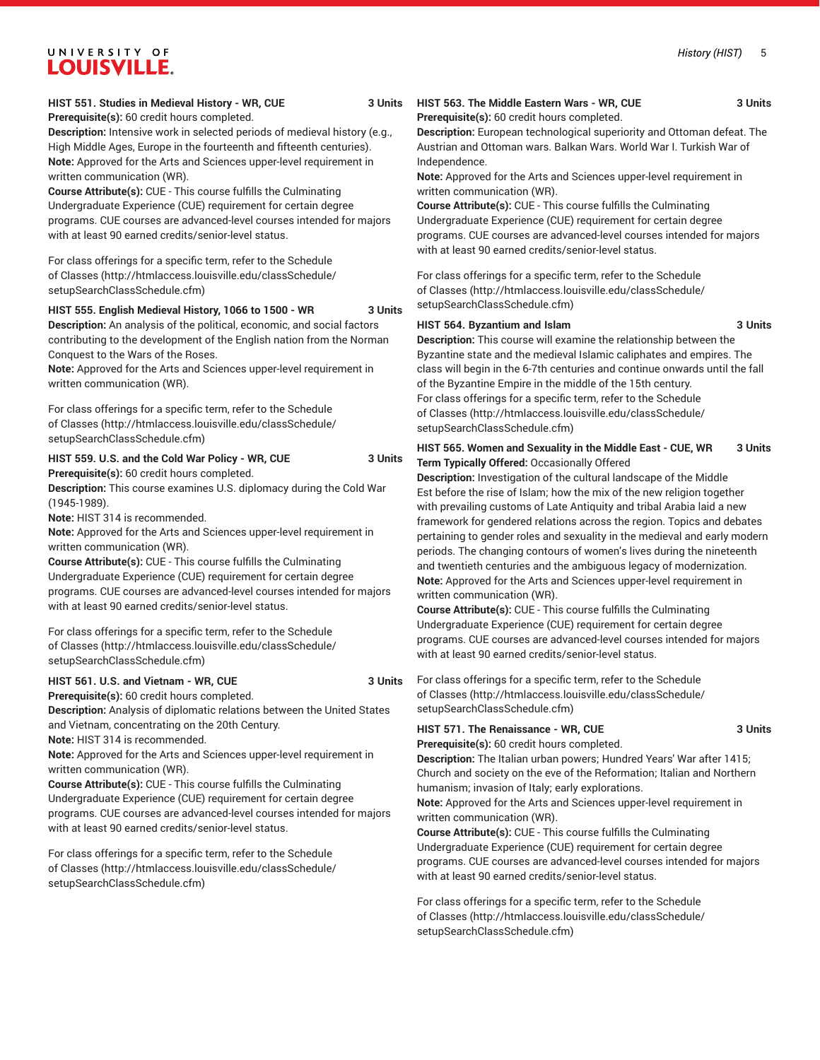#### **HIST 551. Studies in Medieval History - WR, CUE 3 Units**

**Prerequisite(s):** 60 credit hours completed.

UNIVERSITY OF LOUISVILLE.

**Description:** Intensive work in selected periods of medieval history (e.g., High Middle Ages, Europe in the fourteenth and fifteenth centuries). **Note:** Approved for the Arts and Sciences upper-level requirement in written communication (WR).

**Course Attribute(s):** CUE - This course fulfills the Culminating Undergraduate Experience (CUE) requirement for certain degree programs. CUE courses are advanced-level courses intended for majors with at least 90 earned credits/senior-level status.

For class offerings for a specific term, refer to the [Schedule](http://htmlaccess.louisville.edu/classSchedule/setupSearchClassSchedule.cfm) [of Classes \(http://htmlaccess.louisville.edu/classSchedule/](http://htmlaccess.louisville.edu/classSchedule/setupSearchClassSchedule.cfm) [setupSearchClassSchedule.cfm\)](http://htmlaccess.louisville.edu/classSchedule/setupSearchClassSchedule.cfm)

#### **HIST 555. English Medieval History, 1066 to 1500 - WR 3 Units**

**Description:** An analysis of the political, economic, and social factors contributing to the development of the English nation from the Norman Conquest to the Wars of the Roses.

**Note:** Approved for the Arts and Sciences upper-level requirement in written communication (WR).

For class offerings for a specific term, refer to the [Schedule](http://htmlaccess.louisville.edu/classSchedule/setupSearchClassSchedule.cfm) [of Classes \(http://htmlaccess.louisville.edu/classSchedule/](http://htmlaccess.louisville.edu/classSchedule/setupSearchClassSchedule.cfm) [setupSearchClassSchedule.cfm\)](http://htmlaccess.louisville.edu/classSchedule/setupSearchClassSchedule.cfm)

# **HIST 559. U.S. and the Cold War Policy - WR, CUE 3 Units**

**Prerequisite(s):** 60 credit hours completed.

**Description:** This course examines U.S. diplomacy during the Cold War (1945-1989).

**Note:** HIST 314 is recommended.

**Note:** Approved for the Arts and Sciences upper-level requirement in written communication (WR).

**Course Attribute(s):** CUE - This course fulfills the Culminating Undergraduate Experience (CUE) requirement for certain degree programs. CUE courses are advanced-level courses intended for majors with at least 90 earned credits/senior-level status.

For class offerings for a specific term, refer to the [Schedule](http://htmlaccess.louisville.edu/classSchedule/setupSearchClassSchedule.cfm) [of Classes \(http://htmlaccess.louisville.edu/classSchedule/](http://htmlaccess.louisville.edu/classSchedule/setupSearchClassSchedule.cfm) [setupSearchClassSchedule.cfm\)](http://htmlaccess.louisville.edu/classSchedule/setupSearchClassSchedule.cfm)

#### **HIST 561. U.S. and Vietnam - WR, CUE 3 Units**

**Prerequisite(s):** 60 credit hours completed.

**Description:** Analysis of diplomatic relations between the United States and Vietnam, concentrating on the 20th Century.

**Note:** HIST 314 is recommended.

**Note:** Approved for the Arts and Sciences upper-level requirement in written communication (WR).

**Course Attribute(s):** CUE - This course fulfills the Culminating Undergraduate Experience (CUE) requirement for certain degree programs. CUE courses are advanced-level courses intended for majors with at least 90 earned credits/senior-level status.

For class offerings for a specific term, refer to the [Schedule](http://htmlaccess.louisville.edu/classSchedule/setupSearchClassSchedule.cfm) [of Classes \(http://htmlaccess.louisville.edu/classSchedule/](http://htmlaccess.louisville.edu/classSchedule/setupSearchClassSchedule.cfm) [setupSearchClassSchedule.cfm\)](http://htmlaccess.louisville.edu/classSchedule/setupSearchClassSchedule.cfm)

#### **HIST 563. The Middle Eastern Wars - WR, CUE 3 Units Prerequisite(s):** 60 credit hours completed.

**Description:** European technological superiority and Ottoman defeat. The Austrian and Ottoman wars. Balkan Wars. World War I. Turkish War of Independence.

**Note:** Approved for the Arts and Sciences upper-level requirement in written communication (WR).

**Course Attribute(s):** CUE - This course fulfills the Culminating Undergraduate Experience (CUE) requirement for certain degree programs. CUE courses are advanced-level courses intended for majors with at least 90 earned credits/senior-level status.

For class offerings for a specific term, refer to the [Schedule](http://htmlaccess.louisville.edu/classSchedule/setupSearchClassSchedule.cfm) [of Classes](http://htmlaccess.louisville.edu/classSchedule/setupSearchClassSchedule.cfm) ([http://htmlaccess.louisville.edu/classSchedule/](http://htmlaccess.louisville.edu/classSchedule/setupSearchClassSchedule.cfm) [setupSearchClassSchedule.cfm\)](http://htmlaccess.louisville.edu/classSchedule/setupSearchClassSchedule.cfm)

#### **HIST 564. Byzantium and Islam 3 Units**

**Description:** This course will examine the relationship between the Byzantine state and the medieval Islamic caliphates and empires. The class will begin in the 6-7th centuries and continue onwards until the fall of the Byzantine Empire in the middle of the 15th century. For class offerings for a specific term, refer to the [Schedule](http://htmlaccess.louisville.edu/classSchedule/setupSearchClassSchedule.cfm) [of Classes](http://htmlaccess.louisville.edu/classSchedule/setupSearchClassSchedule.cfm) ([http://htmlaccess.louisville.edu/classSchedule/](http://htmlaccess.louisville.edu/classSchedule/setupSearchClassSchedule.cfm) [setupSearchClassSchedule.cfm\)](http://htmlaccess.louisville.edu/classSchedule/setupSearchClassSchedule.cfm)

#### **HIST 565. Women and Sexuality in the Middle East - CUE, WR 3 Units Term Typically Offered:** Occasionally Offered

**Description:** Investigation of the cultural landscape of the Middle Est before the rise of Islam; how the mix of the new religion together with prevailing customs of Late Antiquity and tribal Arabia laid a new framework for gendered relations across the region. Topics and debates pertaining to gender roles and sexuality in the medieval and early modern periods. The changing contours of women's lives during the nineteenth and twentieth centuries and the ambiguous legacy of modernization. **Note:** Approved for the Arts and Sciences upper-level requirement in written communication (WR).

**Course Attribute(s):** CUE - This course fulfills the Culminating Undergraduate Experience (CUE) requirement for certain degree programs. CUE courses are advanced-level courses intended for majors with at least 90 earned credits/senior-level status.

For class offerings for a specific term, refer to the [Schedule](http://htmlaccess.louisville.edu/classSchedule/setupSearchClassSchedule.cfm) [of Classes](http://htmlaccess.louisville.edu/classSchedule/setupSearchClassSchedule.cfm) ([http://htmlaccess.louisville.edu/classSchedule/](http://htmlaccess.louisville.edu/classSchedule/setupSearchClassSchedule.cfm) [setupSearchClassSchedule.cfm\)](http://htmlaccess.louisville.edu/classSchedule/setupSearchClassSchedule.cfm)

## **HIST 571. The Renaissance - WR, CUE 3 Units**

**Prerequisite(s):** 60 credit hours completed.

**Description:** The Italian urban powers; Hundred Years' War after 1415; Church and society on the eve of the Reformation; Italian and Northern humanism; invasion of Italy; early explorations.

**Note:** Approved for the Arts and Sciences upper-level requirement in written communication (WR).

**Course Attribute(s):** CUE - This course fulfills the Culminating Undergraduate Experience (CUE) requirement for certain degree programs. CUE courses are advanced-level courses intended for majors with at least 90 earned credits/senior-level status.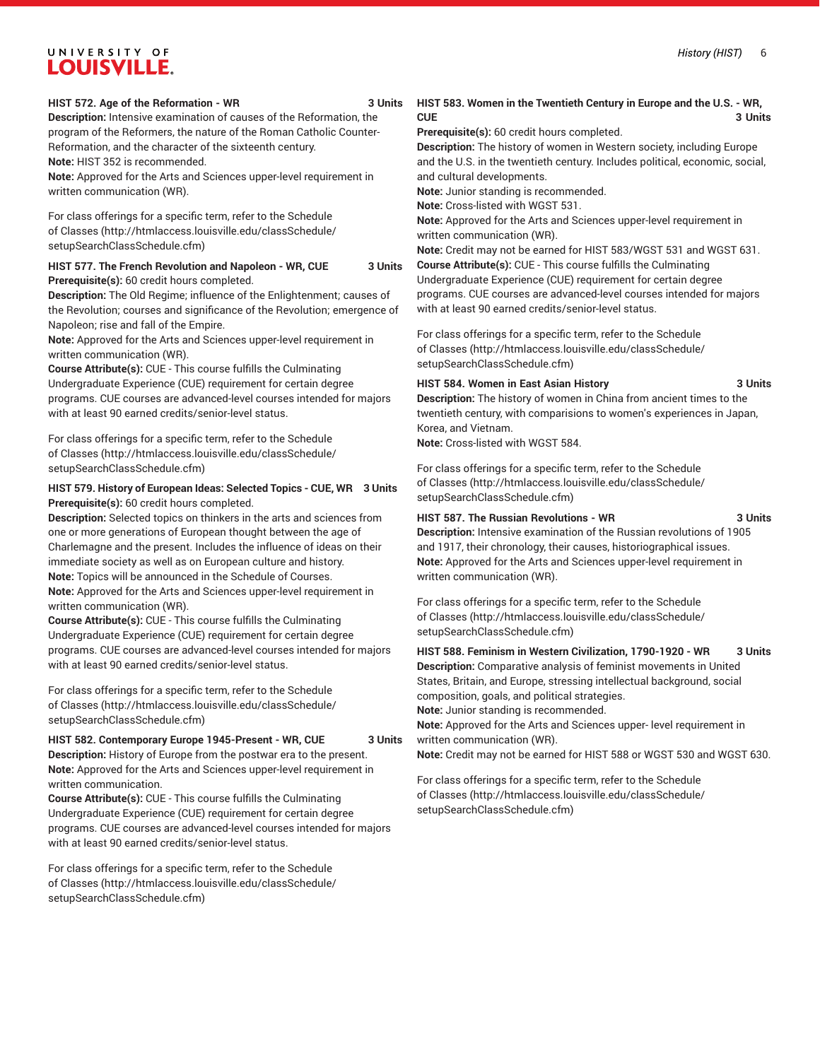#### **HIST 572. Age of the Reformation - WR 3 Units**

**Description:** Intensive examination of causes of the Reformation, the program of the Reformers, the nature of the Roman Catholic Counter-Reformation, and the character of the sixteenth century. **Note:** HIST 352 is recommended.

**Note:** Approved for the Arts and Sciences upper-level requirement in written communication (WR).

For class offerings for a specific term, refer to the [Schedule](http://htmlaccess.louisville.edu/classSchedule/setupSearchClassSchedule.cfm) [of Classes \(http://htmlaccess.louisville.edu/classSchedule/](http://htmlaccess.louisville.edu/classSchedule/setupSearchClassSchedule.cfm) [setupSearchClassSchedule.cfm\)](http://htmlaccess.louisville.edu/classSchedule/setupSearchClassSchedule.cfm)

**HIST 577. The French Revolution and Napoleon - WR, CUE 3 Units Prerequisite(s):** 60 credit hours completed.

**Description:** The Old Regime; influence of the Enlightenment; causes of the Revolution; courses and significance of the Revolution; emergence of Napoleon; rise and fall of the Empire.

**Note:** Approved for the Arts and Sciences upper-level requirement in written communication (WR).

**Course Attribute(s):** CUE - This course fulfills the Culminating Undergraduate Experience (CUE) requirement for certain degree programs. CUE courses are advanced-level courses intended for majors with at least 90 earned credits/senior-level status.

For class offerings for a specific term, refer to the [Schedule](http://htmlaccess.louisville.edu/classSchedule/setupSearchClassSchedule.cfm) [of Classes \(http://htmlaccess.louisville.edu/classSchedule/](http://htmlaccess.louisville.edu/classSchedule/setupSearchClassSchedule.cfm) [setupSearchClassSchedule.cfm\)](http://htmlaccess.louisville.edu/classSchedule/setupSearchClassSchedule.cfm)

#### **HIST 579. History of European Ideas: Selected Topics - CUE, WR 3 Units Prerequisite(s):** 60 credit hours completed.

**Description:** Selected topics on thinkers in the arts and sciences from one or more generations of European thought between the age of Charlemagne and the present. Includes the influence of ideas on their immediate society as well as on European culture and history. **Note:** Topics will be announced in the Schedule of Courses.

**Note:** Approved for the Arts and Sciences upper-level requirement in written communication (WR).

**Course Attribute(s):** CUE - This course fulfills the Culminating Undergraduate Experience (CUE) requirement for certain degree programs. CUE courses are advanced-level courses intended for majors with at least 90 earned credits/senior-level status.

For class offerings for a specific term, refer to the [Schedule](http://htmlaccess.louisville.edu/classSchedule/setupSearchClassSchedule.cfm) [of Classes \(http://htmlaccess.louisville.edu/classSchedule/](http://htmlaccess.louisville.edu/classSchedule/setupSearchClassSchedule.cfm) [setupSearchClassSchedule.cfm\)](http://htmlaccess.louisville.edu/classSchedule/setupSearchClassSchedule.cfm)

#### **HIST 582. Contemporary Europe 1945-Present - WR, CUE 3 Units**

**Description:** History of Europe from the postwar era to the present. **Note:** Approved for the Arts and Sciences upper-level requirement in written communication.

**Course Attribute(s):** CUE - This course fulfills the Culminating Undergraduate Experience (CUE) requirement for certain degree programs. CUE courses are advanced-level courses intended for majors with at least 90 earned credits/senior-level status.

For class offerings for a specific term, refer to the [Schedule](http://htmlaccess.louisville.edu/classSchedule/setupSearchClassSchedule.cfm) [of Classes \(http://htmlaccess.louisville.edu/classSchedule/](http://htmlaccess.louisville.edu/classSchedule/setupSearchClassSchedule.cfm) [setupSearchClassSchedule.cfm\)](http://htmlaccess.louisville.edu/classSchedule/setupSearchClassSchedule.cfm)

#### **HIST 583. Women in the Twentieth Century in Europe and the U.S. - WR, CUE** 3 Units

**Prerequisite(s):** 60 credit hours completed.

**Description:** The history of women in Western society, including Europe and the U.S. in the twentieth century. Includes political, economic, social, and cultural developments.

**Note:** Junior standing is recommended.

**Note:** Cross-listed with WGST 531.

**Note:** Approved for the Arts and Sciences upper-level requirement in written communication (WR).

**Note:** Credit may not be earned for HIST 583/WGST 531 and WGST 631. **Course Attribute(s):** CUE - This course fulfills the Culminating Undergraduate Experience (CUE) requirement for certain degree programs. CUE courses are advanced-level courses intended for majors with at least 90 earned credits/senior-level status.

For class offerings for a specific term, refer to the [Schedule](http://htmlaccess.louisville.edu/classSchedule/setupSearchClassSchedule.cfm) [of Classes](http://htmlaccess.louisville.edu/classSchedule/setupSearchClassSchedule.cfm) ([http://htmlaccess.louisville.edu/classSchedule/](http://htmlaccess.louisville.edu/classSchedule/setupSearchClassSchedule.cfm) [setupSearchClassSchedule.cfm\)](http://htmlaccess.louisville.edu/classSchedule/setupSearchClassSchedule.cfm)

#### **HIST 584. Women in East Asian History 3 Units**

**Description:** The history of women in China from ancient times to the twentieth century, with comparisions to women's experiences in Japan, Korea, and Vietnam.

**Note:** Cross-listed with WGST 584.

For class offerings for a specific term, refer to the [Schedule](http://htmlaccess.louisville.edu/classSchedule/setupSearchClassSchedule.cfm) [of Classes](http://htmlaccess.louisville.edu/classSchedule/setupSearchClassSchedule.cfm) ([http://htmlaccess.louisville.edu/classSchedule/](http://htmlaccess.louisville.edu/classSchedule/setupSearchClassSchedule.cfm) [setupSearchClassSchedule.cfm\)](http://htmlaccess.louisville.edu/classSchedule/setupSearchClassSchedule.cfm)

#### **HIST 587. The Russian Revolutions - WR 3 Units**

**Description:** Intensive examination of the Russian revolutions of 1905 and 1917, their chronology, their causes, historiographical issues. **Note:** Approved for the Arts and Sciences upper-level requirement in written communication (WR).

For class offerings for a specific term, refer to the [Schedule](http://htmlaccess.louisville.edu/classSchedule/setupSearchClassSchedule.cfm) [of Classes](http://htmlaccess.louisville.edu/classSchedule/setupSearchClassSchedule.cfm) ([http://htmlaccess.louisville.edu/classSchedule/](http://htmlaccess.louisville.edu/classSchedule/setupSearchClassSchedule.cfm) [setupSearchClassSchedule.cfm\)](http://htmlaccess.louisville.edu/classSchedule/setupSearchClassSchedule.cfm)

**HIST 588. Feminism in Western Civilization, 1790-1920 - WR 3 Units Description:** Comparative analysis of feminist movements in United States, Britain, and Europe, stressing intellectual background, social composition, goals, and political strategies.

**Note:** Junior standing is recommended.

**Note:** Approved for the Arts and Sciences upper- level requirement in written communication (WR).

**Note:** Credit may not be earned for HIST 588 or WGST 530 and WGST 630.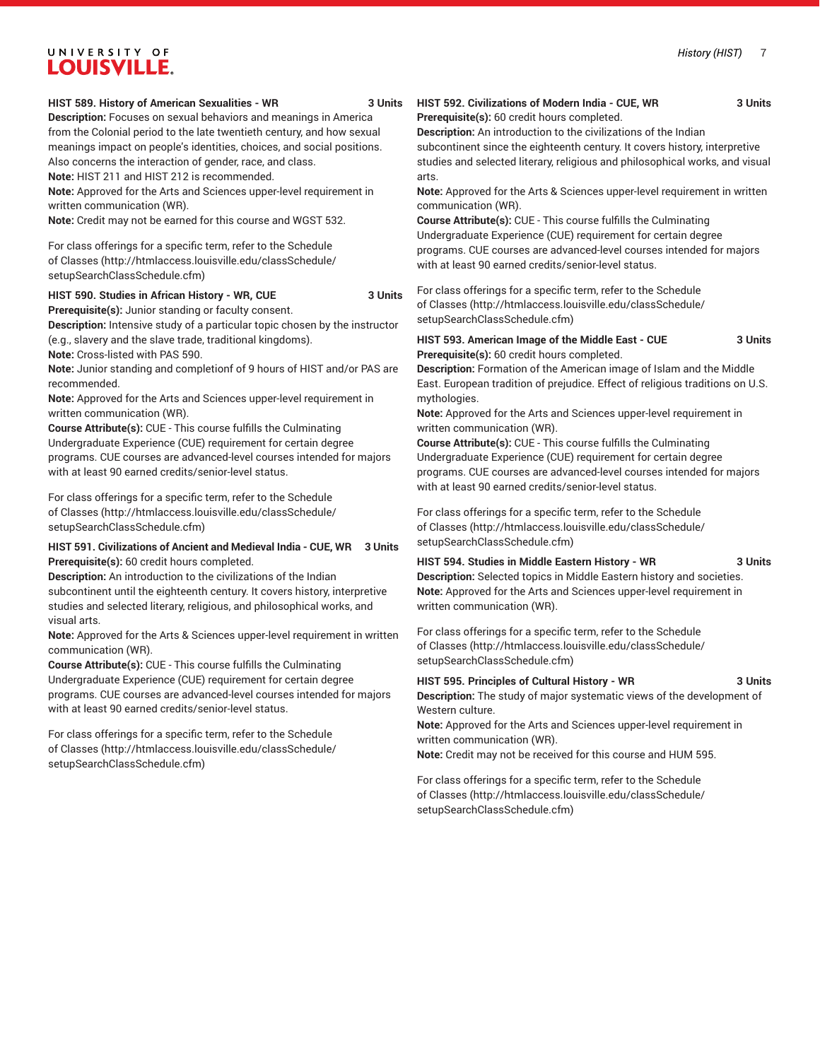#### **HIST 589. History of American Sexualities - WR 3 Units**

**Description:** Focuses on sexual behaviors and meanings in America from the Colonial period to the late twentieth century, and how sexual meanings impact on people's identities, choices, and social positions. Also concerns the interaction of gender, race, and class.

**Note:** HIST 211 and HIST 212 is recommended.

**Note:** Approved for the Arts and Sciences upper-level requirement in written communication (WR).

**Note:** Credit may not be earned for this course and WGST 532.

For class offerings for a specific term, refer to the [Schedule](http://htmlaccess.louisville.edu/classSchedule/setupSearchClassSchedule.cfm) [of Classes \(http://htmlaccess.louisville.edu/classSchedule/](http://htmlaccess.louisville.edu/classSchedule/setupSearchClassSchedule.cfm) [setupSearchClassSchedule.cfm\)](http://htmlaccess.louisville.edu/classSchedule/setupSearchClassSchedule.cfm)

#### **HIST 590. Studies in African History - WR, CUE 3 Units**

**Prerequisite(s):** Junior standing or faculty consent.

**Description:** Intensive study of a particular topic chosen by the instructor (e.g., slavery and the slave trade, traditional kingdoms).

**Note:** Cross-listed with PAS 590.

**Note:** Junior standing and completionf of 9 hours of HIST and/or PAS are recommended.

**Note:** Approved for the Arts and Sciences upper-level requirement in written communication (WR).

**Course Attribute(s):** CUE - This course fulfills the Culminating Undergraduate Experience (CUE) requirement for certain degree programs. CUE courses are advanced-level courses intended for majors with at least 90 earned credits/senior-level status.

For class offerings for a specific term, refer to the [Schedule](http://htmlaccess.louisville.edu/classSchedule/setupSearchClassSchedule.cfm) [of Classes \(http://htmlaccess.louisville.edu/classSchedule/](http://htmlaccess.louisville.edu/classSchedule/setupSearchClassSchedule.cfm) [setupSearchClassSchedule.cfm\)](http://htmlaccess.louisville.edu/classSchedule/setupSearchClassSchedule.cfm)

#### **HIST 591. Civilizations of Ancient and Medieval India - CUE, WR 3 Units Prerequisite(s):** 60 credit hours completed.

**Description:** An introduction to the civilizations of the Indian subcontinent until the eighteenth century. It covers history, interpretive studies and selected literary, religious, and philosophical works, and visual arts.

**Note:** Approved for the Arts & Sciences upper-level requirement in written communication (WR).

**Course Attribute(s):** CUE - This course fulfills the Culminating Undergraduate Experience (CUE) requirement for certain degree programs. CUE courses are advanced-level courses intended for majors with at least 90 earned credits/senior-level status.

For class offerings for a specific term, refer to the [Schedule](http://htmlaccess.louisville.edu/classSchedule/setupSearchClassSchedule.cfm) [of Classes \(http://htmlaccess.louisville.edu/classSchedule/](http://htmlaccess.louisville.edu/classSchedule/setupSearchClassSchedule.cfm) [setupSearchClassSchedule.cfm\)](http://htmlaccess.louisville.edu/classSchedule/setupSearchClassSchedule.cfm)

#### **HIST 592. Civilizations of Modern India - CUE, WR 3 Units Prerequisite(s):** 60 credit hours completed.

**Description:** An introduction to the civilizations of the Indian

subcontinent since the eighteenth century. It covers history, interpretive studies and selected literary, religious and philosophical works, and visual arts.

**Note:** Approved for the Arts & Sciences upper-level requirement in written communication (WR).

**Course Attribute(s):** CUE - This course fulfills the Culminating Undergraduate Experience (CUE) requirement for certain degree programs. CUE courses are advanced-level courses intended for majors with at least 90 earned credits/senior-level status.

For class offerings for a specific term, refer to the [Schedule](http://htmlaccess.louisville.edu/classSchedule/setupSearchClassSchedule.cfm) [of Classes](http://htmlaccess.louisville.edu/classSchedule/setupSearchClassSchedule.cfm) ([http://htmlaccess.louisville.edu/classSchedule/](http://htmlaccess.louisville.edu/classSchedule/setupSearchClassSchedule.cfm) [setupSearchClassSchedule.cfm\)](http://htmlaccess.louisville.edu/classSchedule/setupSearchClassSchedule.cfm)

**HIST 593. American Image of the Middle East - CUE 3 Units Prerequisite(s):** 60 credit hours completed.

**Description:** Formation of the American image of Islam and the Middle East. European tradition of prejudice. Effect of religious traditions on U.S. mythologies.

**Note:** Approved for the Arts and Sciences upper-level requirement in written communication (WR).

**Course Attribute(s):** CUE - This course fulfills the Culminating Undergraduate Experience (CUE) requirement for certain degree programs. CUE courses are advanced-level courses intended for majors with at least 90 earned credits/senior-level status.

For class offerings for a specific term, refer to the [Schedule](http://htmlaccess.louisville.edu/classSchedule/setupSearchClassSchedule.cfm) [of Classes](http://htmlaccess.louisville.edu/classSchedule/setupSearchClassSchedule.cfm) ([http://htmlaccess.louisville.edu/classSchedule/](http://htmlaccess.louisville.edu/classSchedule/setupSearchClassSchedule.cfm) [setupSearchClassSchedule.cfm\)](http://htmlaccess.louisville.edu/classSchedule/setupSearchClassSchedule.cfm)

#### **HIST 594. Studies in Middle Eastern History - WR 3 Units**

**Description:** Selected topics in Middle Eastern history and societies. **Note:** Approved for the Arts and Sciences upper-level requirement in written communication (WR).

For class offerings for a specific term, refer to the [Schedule](http://htmlaccess.louisville.edu/classSchedule/setupSearchClassSchedule.cfm) [of Classes](http://htmlaccess.louisville.edu/classSchedule/setupSearchClassSchedule.cfm) ([http://htmlaccess.louisville.edu/classSchedule/](http://htmlaccess.louisville.edu/classSchedule/setupSearchClassSchedule.cfm) [setupSearchClassSchedule.cfm\)](http://htmlaccess.louisville.edu/classSchedule/setupSearchClassSchedule.cfm)

#### **HIST 595. Principles of Cultural History - WR 3 Units**

**Description:** The study of major systematic views of the development of Western culture.

**Note:** Approved for the Arts and Sciences upper-level requirement in written communication (WR).

**Note:** Credit may not be received for this course and HUM 595.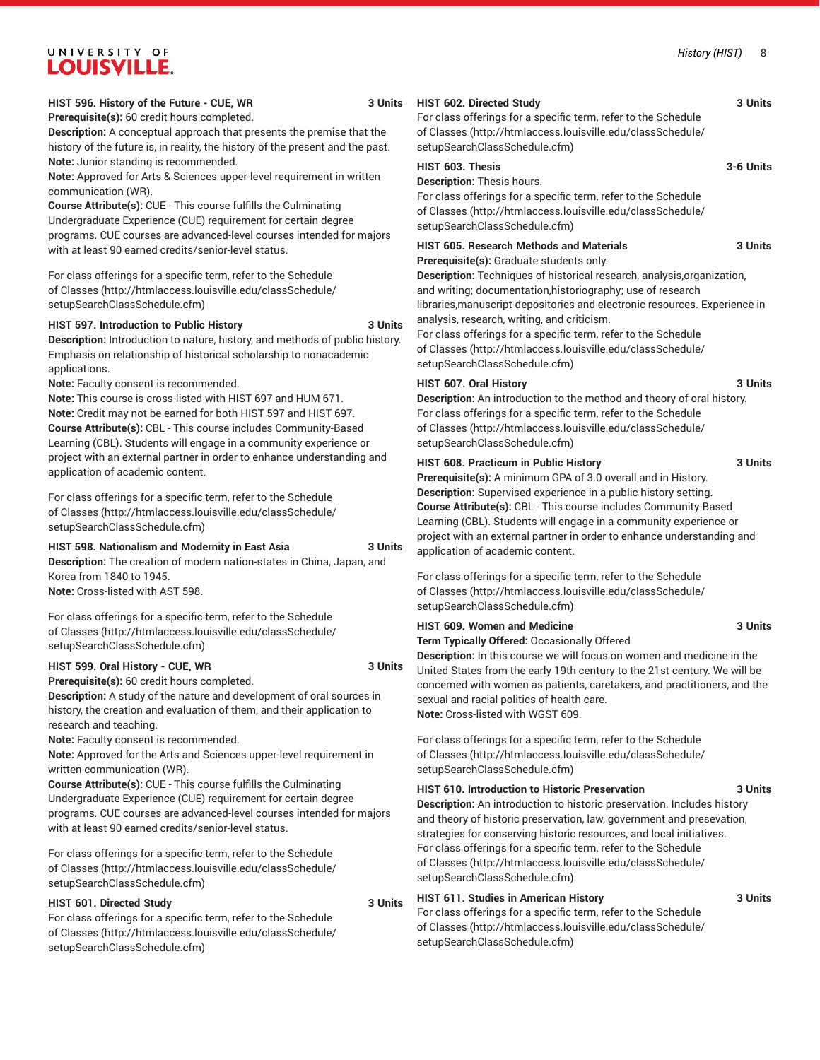#### *History (HIST)* 8

# UNIVERSITY OF **LOUISVILLE.**

#### **HIST 596. History of the Future - CUE, WR 3 Units Prerequisite(s):** 60 credit hours completed.

**Description:** A conceptual approach that presents the premise that the history of the future is, in reality, the history of the present and the past. **Note:** Junior standing is recommended.

**Note:** Approved for Arts & Sciences upper-level requirement in written communication (WR).

**Course Attribute(s):** CUE - This course fulfills the Culminating Undergraduate Experience (CUE) requirement for certain degree programs. CUE courses are advanced-level courses intended for majors with at least 90 earned credits/senior-level status.

For class offerings for a specific term, refer to the [Schedule](http://htmlaccess.louisville.edu/classSchedule/setupSearchClassSchedule.cfm) [of Classes \(http://htmlaccess.louisville.edu/classSchedule/](http://htmlaccess.louisville.edu/classSchedule/setupSearchClassSchedule.cfm) [setupSearchClassSchedule.cfm\)](http://htmlaccess.louisville.edu/classSchedule/setupSearchClassSchedule.cfm)

#### **HIST 597. Introduction to Public History 3 Units**

**Description:** Introduction to nature, history, and methods of public history. Emphasis on relationship of historical scholarship to nonacademic applications.

**Note:** Faculty consent is recommended.

**Note:** This course is cross-listed with HIST 697 and HUM 671. **Note:** Credit may not be earned for both HIST 597 and HIST 697. **Course Attribute(s):** CBL - This course includes Community-Based Learning (CBL). Students will engage in a community experience or project with an external partner in order to enhance understanding and application of academic content.

For class offerings for a specific term, refer to the [Schedule](http://htmlaccess.louisville.edu/classSchedule/setupSearchClassSchedule.cfm) [of Classes \(http://htmlaccess.louisville.edu/classSchedule/](http://htmlaccess.louisville.edu/classSchedule/setupSearchClassSchedule.cfm) [setupSearchClassSchedule.cfm\)](http://htmlaccess.louisville.edu/classSchedule/setupSearchClassSchedule.cfm)

**HIST 598. Nationalism and Modernity in East Asia 3 Units Description:** The creation of modern nation-states in China, Japan, and Korea from 1840 to 1945.

**Note:** Cross-listed with AST 598.

For class offerings for a specific term, refer to the [Schedule](http://htmlaccess.louisville.edu/classSchedule/setupSearchClassSchedule.cfm) [of Classes \(http://htmlaccess.louisville.edu/classSchedule/](http://htmlaccess.louisville.edu/classSchedule/setupSearchClassSchedule.cfm) [setupSearchClassSchedule.cfm\)](http://htmlaccess.louisville.edu/classSchedule/setupSearchClassSchedule.cfm)

#### **HIST 599. Oral History - CUE, WR 3 Units**

**Prerequisite(s):** 60 credit hours completed. **Description:** A study of the nature and development of oral sources in history, the creation and evaluation of them, and their application to research and teaching.

**Note:** Faculty consent is recommended.

**Note:** Approved for the Arts and Sciences upper-level requirement in written communication (WR).

**Course Attribute(s):** CUE - This course fulfills the Culminating Undergraduate Experience (CUE) requirement for certain degree programs. CUE courses are advanced-level courses intended for majors with at least 90 earned credits/senior-level status.

For class offerings for a specific term, refer to the [Schedule](http://htmlaccess.louisville.edu/classSchedule/setupSearchClassSchedule.cfm) [of Classes \(http://htmlaccess.louisville.edu/classSchedule/](http://htmlaccess.louisville.edu/classSchedule/setupSearchClassSchedule.cfm) [setupSearchClassSchedule.cfm\)](http://htmlaccess.louisville.edu/classSchedule/setupSearchClassSchedule.cfm)

#### **HIST 601. Directed Study 3 Units**

For class offerings for a specific term, refer to the [Schedule](http://htmlaccess.louisville.edu/classSchedule/setupSearchClassSchedule.cfm) [of Classes \(http://htmlaccess.louisville.edu/classSchedule/](http://htmlaccess.louisville.edu/classSchedule/setupSearchClassSchedule.cfm) [setupSearchClassSchedule.cfm\)](http://htmlaccess.louisville.edu/classSchedule/setupSearchClassSchedule.cfm)

#### **HIST 602. Directed Study 3 Units**

For class offerings for a specific term, refer to the [Schedule](http://htmlaccess.louisville.edu/classSchedule/setupSearchClassSchedule.cfm) [of Classes](http://htmlaccess.louisville.edu/classSchedule/setupSearchClassSchedule.cfm) ([http://htmlaccess.louisville.edu/classSchedule/](http://htmlaccess.louisville.edu/classSchedule/setupSearchClassSchedule.cfm) [setupSearchClassSchedule.cfm\)](http://htmlaccess.louisville.edu/classSchedule/setupSearchClassSchedule.cfm)

#### **HIST 603. Thesis 3-6 Units**

**Description:** Thesis hours.

For class offerings for a specific term, refer to the [Schedule](http://htmlaccess.louisville.edu/classSchedule/setupSearchClassSchedule.cfm) [of Classes](http://htmlaccess.louisville.edu/classSchedule/setupSearchClassSchedule.cfm) ([http://htmlaccess.louisville.edu/classSchedule/](http://htmlaccess.louisville.edu/classSchedule/setupSearchClassSchedule.cfm) [setupSearchClassSchedule.cfm\)](http://htmlaccess.louisville.edu/classSchedule/setupSearchClassSchedule.cfm)

#### **HIST 605. Research Methods and Materials 3 Units**

**Prerequisite(s):** Graduate students only.

**Description:** Techniques of historical research, analysis,organization, and writing; documentation,historiography; use of research libraries,manuscript depositories and electronic resources. Experience in analysis, research, writing, and criticism.

For class offerings for a specific term, refer to the [Schedule](http://htmlaccess.louisville.edu/classSchedule/setupSearchClassSchedule.cfm) [of Classes](http://htmlaccess.louisville.edu/classSchedule/setupSearchClassSchedule.cfm) ([http://htmlaccess.louisville.edu/classSchedule/](http://htmlaccess.louisville.edu/classSchedule/setupSearchClassSchedule.cfm) [setupSearchClassSchedule.cfm\)](http://htmlaccess.louisville.edu/classSchedule/setupSearchClassSchedule.cfm)

#### **HIST 607. Oral History 3 Units**

**Description:** An introduction to the method and theory of oral history. For class offerings for a specific term, refer to the [Schedule](http://htmlaccess.louisville.edu/classSchedule/setupSearchClassSchedule.cfm) [of Classes](http://htmlaccess.louisville.edu/classSchedule/setupSearchClassSchedule.cfm) ([http://htmlaccess.louisville.edu/classSchedule/](http://htmlaccess.louisville.edu/classSchedule/setupSearchClassSchedule.cfm) [setupSearchClassSchedule.cfm\)](http://htmlaccess.louisville.edu/classSchedule/setupSearchClassSchedule.cfm)

#### **HIST 608. Practicum in Public History 3 Units**

**Prerequisite(s):** A minimum GPA of 3.0 overall and in History. **Description:** Supervised experience in a public history setting. **Course Attribute(s):** CBL - This course includes Community-Based Learning (CBL). Students will engage in a community experience or project with an external partner in order to enhance understanding and application of academic content.

For class offerings for a specific term, refer to the [Schedule](http://htmlaccess.louisville.edu/classSchedule/setupSearchClassSchedule.cfm) [of Classes](http://htmlaccess.louisville.edu/classSchedule/setupSearchClassSchedule.cfm) ([http://htmlaccess.louisville.edu/classSchedule/](http://htmlaccess.louisville.edu/classSchedule/setupSearchClassSchedule.cfm) [setupSearchClassSchedule.cfm\)](http://htmlaccess.louisville.edu/classSchedule/setupSearchClassSchedule.cfm)

### **HIST 609. Women and Medicine 3 Units**

**Term Typically Offered:** Occasionally Offered

**Description:** In this course we will focus on women and medicine in the United States from the early 19th century to the 21st century. We will be concerned with women as patients, caretakers, and practitioners, and the sexual and racial politics of health care. **Note:** Cross-listed with WGST 609.

For class offerings for a specific term, refer to the [Schedule](http://htmlaccess.louisville.edu/classSchedule/setupSearchClassSchedule.cfm) [of Classes](http://htmlaccess.louisville.edu/classSchedule/setupSearchClassSchedule.cfm) ([http://htmlaccess.louisville.edu/classSchedule/](http://htmlaccess.louisville.edu/classSchedule/setupSearchClassSchedule.cfm) [setupSearchClassSchedule.cfm\)](http://htmlaccess.louisville.edu/classSchedule/setupSearchClassSchedule.cfm)

#### **HIST 610. Introduction to Historic Preservation 3 Units**

**Description:** An introduction to historic preservation. Includes history and theory of historic preservation, law, government and presevation, strategies for conserving historic resources, and local initiatives. For class offerings for a specific term, refer to the [Schedule](http://htmlaccess.louisville.edu/classSchedule/setupSearchClassSchedule.cfm) [of Classes](http://htmlaccess.louisville.edu/classSchedule/setupSearchClassSchedule.cfm) ([http://htmlaccess.louisville.edu/classSchedule/](http://htmlaccess.louisville.edu/classSchedule/setupSearchClassSchedule.cfm) [setupSearchClassSchedule.cfm\)](http://htmlaccess.louisville.edu/classSchedule/setupSearchClassSchedule.cfm)

#### **HIST 611. Studies in American History 3 Units**